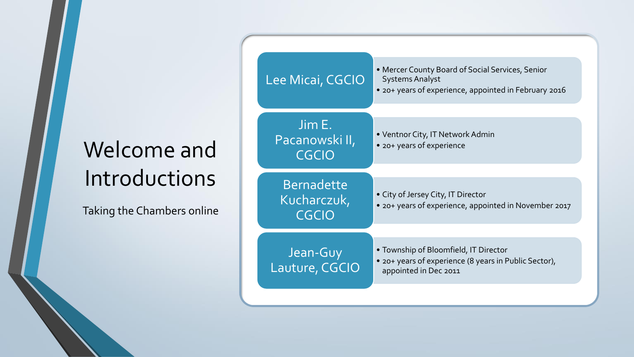# Welcome and Introductions

Taking the Chambers online

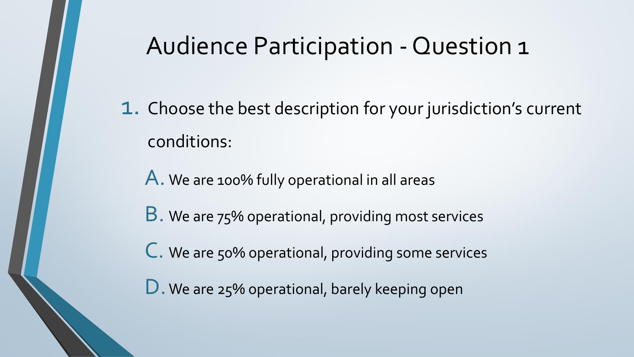## Audience Participation - Question 1

1. Choose the best description for your jurisdiction's current conditions:

A. We are 100% fully operational in all areas

**B**. We are 75% operational, providing most services

C. We are 50% operational, providing some services

D. We are 25% operational, barely keeping open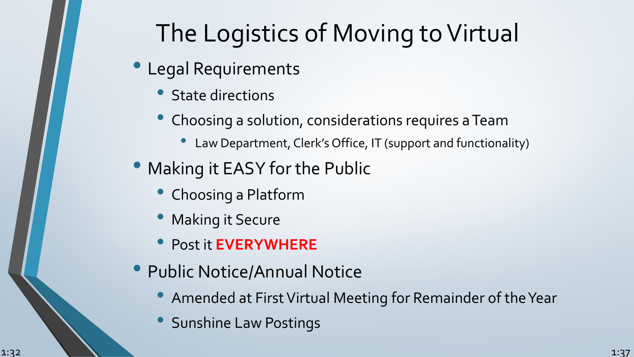# The Logistics of Moving to Virtual

- Legal Requirements
	- State directions
	- Choosing a solution, considerations requires a Team
		- Law Department, Clerk's Office, IT (support and functionality)
- Making it EASY for the Public
	- Choosing a Platform
	- Making it Secure
	- Post it **EVERYWHERE**
- Public Notice/Annual Notice
	- Amended at First Virtual Meeting for Remainder of the Year
	- Sunshine Law Postings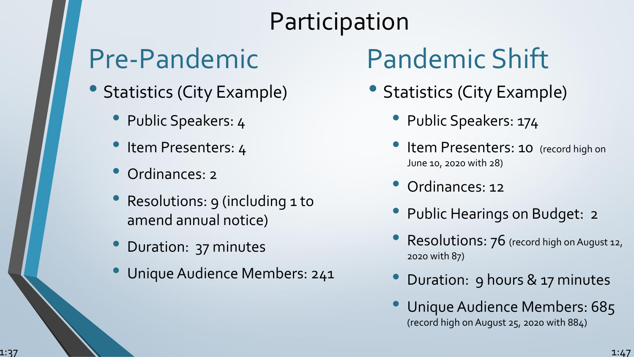# Participation

# Pre-Pandemic

- Statistics (City Example)
	- Public Speakers: 4
	- Item Presenters: 4
	- Ordinances: 2
	- Resolutions: 9 (including 1 to amend annual notice)
	- Duration: 37 minutes
	- Unique Audience Members: 241

# Pandemic Shift

- Statistics (City Example)
	- Public Speakers: 174
	- Item Presenters: 10 (record high on June 10, 2020 with 28)
	- Ordinances: 12
	- Public Hearings on Budget: 2
	- Resolutions: 76 (record high on August 12, 2020 with 87)
	- Duration: 9 hours & 17 minutes
	- Unique Audience Members: 685 (record high on August 25, 2020 with 884)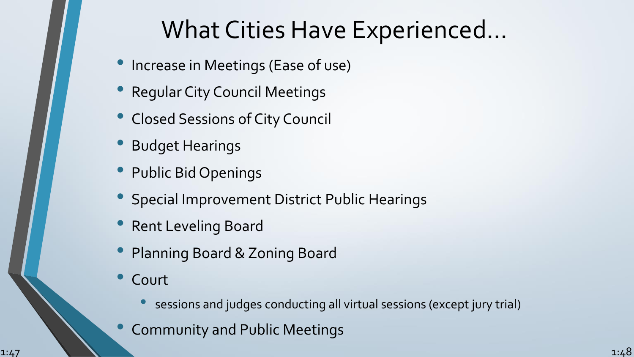## What Cities Have Experienced…

- Increase in Meetings (Ease of use)
- Regular City Council Meetings
- Closed Sessions of City Council
- Budget Hearings
- Public Bid Openings
- Special Improvement District Public Hearings
- Rent Leveling Board
- Planning Board & Zoning Board
- **Court** 
	- sessions and judges conducting all virtual sessions (except jury trial)
- Community and Public Meetings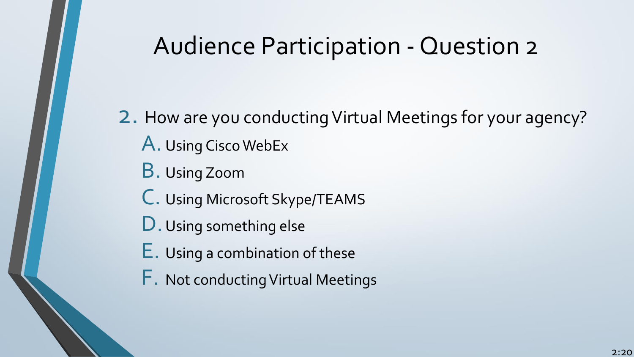# Audience Participation - Question 2

2. How are you conducting Virtual Meetings for your agency? A. Using Cisco WebEx B. Using Zoom C. Using Microsoft Skype/TEAMS D. Using something else E. Using a combination of these F. Not conducting Virtual Meetings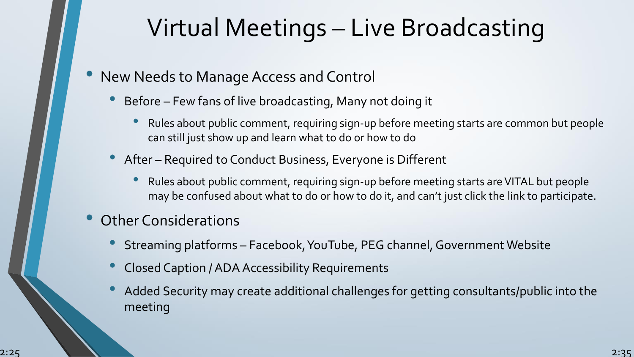# Virtual Meetings – Live Broadcasting

- New Needs to Manage Access and Control
	- Before Few fans of live broadcasting, Many not doing it
		- Rules about public comment, requiring sign-up before meeting starts are common but people can still just show up and learn what to do or how to do
	- After Required to Conduct Business, Everyone is Different
		- Rules about public comment, requiring sign-up before meeting starts are VITAL but people may be confused about what to do or how to do it, and can't just click the link to participate.
- Other Considerations
	- Streaming platforms Facebook, YouTube, PEG channel, Government Website
	- Closed Caption / ADA Accessibility Requirements
	- Added Security may create additional challenges for getting consultants/public into the meeting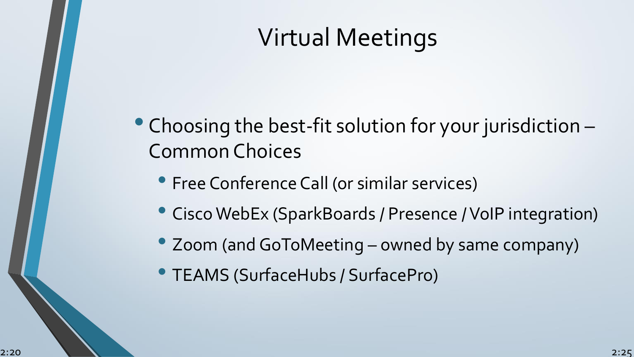# Virtual Meetings

- Choosing the best-fit solution for your jurisdiction Common Choices
	- Free Conference Call (or similar services)
	- Cisco WebEx (SparkBoards / Presence / VoIP integration)
	- Zoom (and GoToMeeting owned by same company)
	- TEAMS (SurfaceHubs / SurfacePro)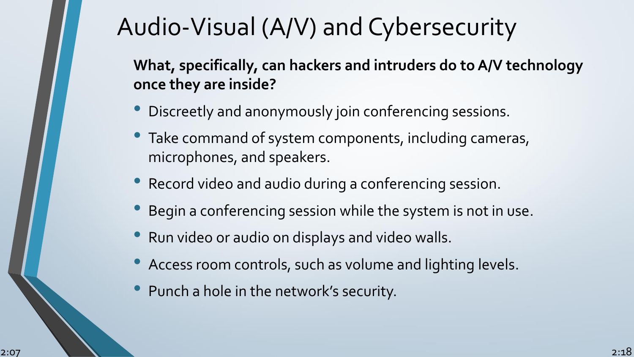# Audio-Visual (A/V) and Cybersecurity

**What, specifically, can hackers and intruders do to A/V technology once they are inside?**

- Discreetly and anonymously join conferencing sessions.
- Take command of system components, including cameras, microphones, and speakers.
- Record video and audio during a conferencing session.
- Begin a conferencing session while the system is not in use.
- Run video or audio on displays and video walls.
- Access room controls, such as volume and lighting levels.
- Punch a hole in the network's security.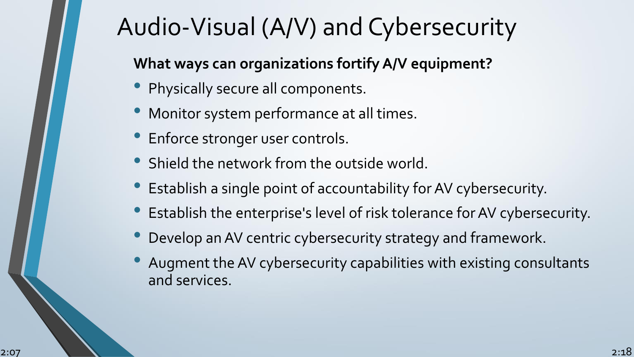# Audio-Visual (A/V) and Cybersecurity

#### **What ways can organizations fortify A/V equipment?**

- Physically secure all components.
- Monitor system performance at all times.
- Enforce stronger user controls.
- Shield the network from the outside world.
- Establish a single point of accountability for AV cybersecurity.
- Establish the enterprise's level of risk tolerance for AV cybersecurity.
- Develop an AV centric cybersecurity strategy and framework.
- Augment the AV cybersecurity capabilities with existing consultants and services.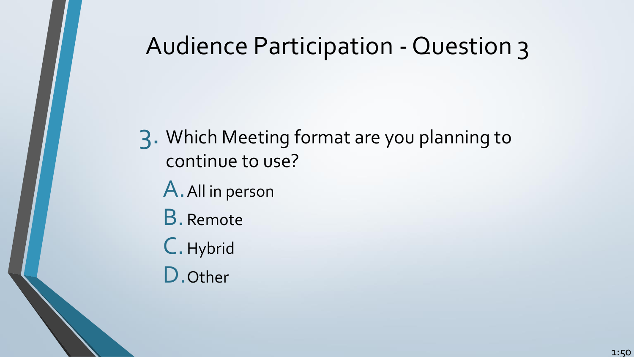# Audience Participation - Question 3

3. Which Meeting format are you planning to continue to use? A.All in person B.Remote C.Hybrid

D.Other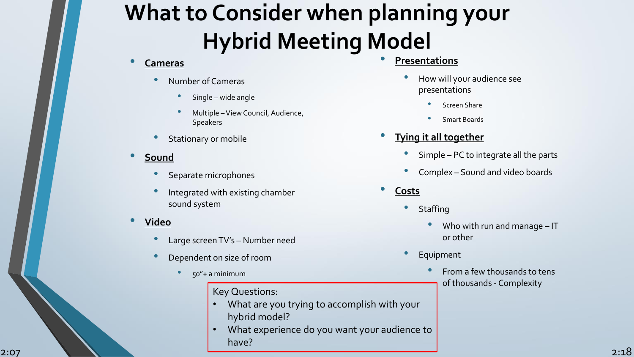# **What to Consider when planning your Hybrid Meeting Model**

- **Cameras**
	- Number of Cameras
		- Single wide angle
		- Multiple –View Council, Audience, **Speakers**
	- Stationary or mobile
- **Sound**
	- Separate microphones
	- Integrated with existing chamber sound system
- **Video**
	- Large screen TV's Number need
	- Dependent on size of room
		- 50"+ a minimum

#### Key Questions:

- What are you trying to accomplish with your hybrid model?
- Examples and the state of the state of the state of the state of the state of the state of the state of the state of the state of the state of the state of the state of the state of the state of the state of the state of t • What experience do you want your audience to have?
	- - presentations
			- Screen Share
			- Smart Boards
	- **Tying it all together**
		- Simple PC to integrate all the parts
		- Complex Sound and video boards
	- **Costs**
		- **Staffing** 
			- Who with run and manage IT or other
		- **Equipment** 
			- From a few thousands to tens of thousands - Complexity